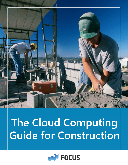

# **The Cloud Computing Guide for Construction**

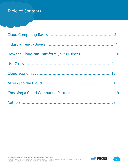### Table of Contents

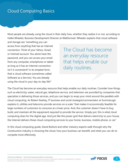### Cloud Computing Basics

Most people are already using the cloud in their daily lives, whether they realize it or not, according to Hallie Wheeler, Business Development Director at Webformed. Wheeler explains that cloud software

and storage are "something you can access from anything that has an Internet connection. Think of your Yahoo, Gmail, or Hotmail account. You alone have the password, and you can access your email from any computer, smartphone or tablet as long as it has an Internet connection. Isn't it convenient? In its simplest form, that is cloud software (sometimes called Software as a Service). You are already using the cloud in your day-to-day life!"

The Cloud has become an everyday resource that helps enable our daily routines.

The Cloud has become an everyday resource that helps enable our daily routines. Consider how things such as electricity, water, natural gas, telephone service, and television are provided by companies that specialize in delivering those services, and you can begin to wrap your mind around the parallels with cloud computing. As Robert Keahey, IT business and social strategist/commentator at SummaLogic explains it, utilities and telecoms provide services on a scale "that makes it economically feasible for large numbers of customers to consume at a lower price. And, the customer doesn't have to buy, build, and maintain all the equipment required to provide the service. Simply put, this is what cloud computing does for the digital age. And just like the power grid that delivers electricity to your house, the Internet delivers these cloud computing services to your home, business, mobile phone, or car."

In this cloud computing guide, David Bullock and other industry experts walk through why the Construction industry is choosing the cloud, how your business can benefit, and what you can do to compete more effectively.

©2012 Focus Research - The Cloud Computing Guide for Construction. Microsoft provides this material solely for informational purposes. MICROSOFT MAKES NO WARRANTIES, EXPRESS, IMPLIED, OR STATUTORY, AS TO THE INFORMATION IN THIS DOCUMENT.

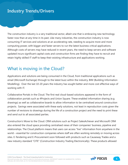The construction industry is a very traditional sector, albeit one that is embracing new technology faster now than at any time in its past. Like many industries, the construction industry is now consuming IT services and solutions at an accelerating rate, needing to acquire more and more computing power, with bigger and faster servers to run the latest business critical applications. Although costs of servers may have reduced in recent years, the need to keep servers and software updated incurs significant capital costs and construction firms are finding they have to recruit and retain highly skilled IT staff to keep their existing infrastructure and applications working.

### What is moving in the Cloud?

Applications and solutions are being consumed in the Cloud, from traditional applications such as email (Microsoft Exchange) through to the latest buzz within the industry, BIM (Building Information Modelling). Over the last 10-20 years the industry has sought better and more cost effective ways of working with IT.

Collaborative Portals in the Cloud. The first real cloud-based solutions appeared in the form of collaboration portals such as 4Projects and Union Square. These enabled information sharing (e.g. drawings) as well as collaborative boards to allow information to be centralised around construction projects. Savings were associated with these early solutions, not least in reproduction costs given the number of revisions to drawings during the life of a construction project and the need to print these and send out to all associated parties.

Construction's Move to the Cloud. CRM solutions such as Project SalesAchiever and Microsoft CRM also entered the cloud space providing centralised views of their companies' business, pipeline and relationships. The Cloud platform means that users can access "live" information from anywhere in the world – essential for construction companies where staff are often working remotely or moving across sites. E-Tendering and E-Procurement soon followed with products such as Causeway Tradex and a new industry standard "CITE" (Construction Industry Trading Electronically). These products allowed

©2012 Focus Research - The Cloud Computing Guide for Construction. Microsoft provides this material solely for informational purposes. MICROSOFT MAKES NO WARRANTIES, EXPRESS, IMPLIED, OR STATUTORY, AS TO THE INFORMATION IN THIS DOCUMENT.

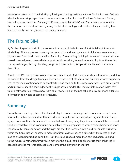waste to be taken out of the industry by linking up trading partners, such as Contractors and Builders Merchants, removing paper based communications such as Invoices, Purchase Orders and Delivery Notes. Enterprise Resource Planning (ERP) solutions such as COINS and Causeway have also made the transition into the cloud and by using the latest technology and solutions they are finding that interoperability and integration is becoming far easier.

### The Future: BIM

By far the biggest buzz within the construction sector globally is that of BIM (Building Information Modelling). This is a process involving the generation and management of digital representations of physical and functional characteristics of a facility. The resulting building information models become shared knowledge resources which support decision-making in relation to a facility from the earliest conceptual stages, through building design and construction, its operational life and its eventual demolition.

Benefits of BIM. For the professionals involved in a project, BIM enables a virtual information model to be handed from the design team (architects, surveyors, civil, structural and building services engineers, etc.) to the main contractor and subcontractors and then on to the owner/operator. Each professional adds discipline-specific knowledge to the single shared model. This reduces information losses that traditionally occurred when a new team takes 'ownership' of the project, and provides more extensive information to owners of complex structures.

### Summary

Given the increased appetite within the industry to produce, manage and consume more and more information it has become clear that in order to compete and become a lean organization in these trying economic times, businesses have had to look at everything they do and utilize all the tools and solutions available. Cloud computing has enabled these companies to work smarter, harder and more economically than ever before and the signs are that this transition into cloud will enable businesses within the Construction Industry to make significant cost savings at a time when the recession had lead to challenging trading conditions. But the cloud is about more than cost-reduction. Looking to the future, Construction firms which move to the cloud should be able to use their enhanced IT capabilities to be more flexible, agile and competitive players in the future.

©2012 Focus Research - The Cloud Computing Guide for Construction. Microsoft provides this material solely for informational purposes. MICROSOFT MAKES NO WARRANTIES, EXPRESS, IMPLIED, OR STATUTORY, AS TO THE INFORMATION IN THIS DOCUMENT.



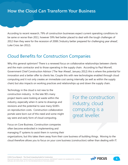According to recent research, 79% of construction businesses expect current operating conditions to be same or worse than 2011, however 59% feel better placed to deal with the tough challenges of 2012 than they were for the recession of 2008 ('Industry better prepared for challenging year ahead', Luke Cross Jan 2012).

### Cloud Benefits for Construction Companies

Why this general optimism? There is a renewed focus on collaborative relationships between clients and the main contractor and to those operating in the supply chain. According to Paul Morrell, Government Chief Construction Advisor ('The Year Ahead', January 2012) this is where the potential for innovation and a better offer to clients lies. Couple this with new technologies enabled through cloud computing and it not only creates an immediate cost saving internally (as well as within the supply chain) but also impacts on working practices and relationships up and down the supply chain.

Technology in the cloud is not new to the construction industry. In the late 90's many project teams were looking at waste within the industry, especially when it came to drawings and revisions and the potential to save many \$100's on reproduction costs. Construction collaboration portals were born out of this need and some might say were and early form of cloud computing.

For the construction industry, cloud computing is a great leveller.

Focus on Core Business. Construction companies often become embroiled in implementing and managing IT systems to assist them in running their

organizations, but this takes them away from their core business of building things. Moving to the cloud therefore allows you to focus on your core business (construction) rather than dealing with IT.

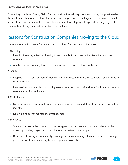Competing on a Level Playing Field. For the construction industry, cloud computing is a great leveller; the smallest contractor could have the same computing power of the largest. So, for example, small architectural practices are able to compete on a more level playing field against the largest global ones, without being impeded by hardware and software costs.

# Reasons for Construction Companies Moving to the Cloud

There are four main reasons for moving into the cloud for construction businesses:

- 1. Flexibility
	- Ideal for those organizations looking to compete, but who have limited technical in-house resources
	- $\circ$  Ability to work from any location construction site, home, office, on the move
- 2. Agility
	- $\circ$  Keeping IT staff (or lack thereof) trained and up to date with the latest software all delivered via cloud provider
	- New services can be rolled out quickly, even to remote construction sites, with little to no internal resource used for deployment
- 3. Cost-efficient
	- Opex not capex, reduced upfront investment, reducing risk at a difficult time in the construction industry
	- No on-going server maintenance/management
- 4. Scalability
	- Scale up (or down) the numbers of users or types of apps whenever you need, which can be driven by building projects won or collaborative partners for example
	- $\circ$  Don't need to worry about capacity planning, hence overcoming difficulties in future planning, given the construction industry business cycle and volatility

**N** FOCUS

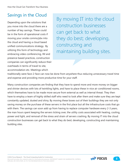# Savings in the Cloud

Depending upon the solutions that you move into the cloud there are a number of key savings. These could be in the form of operational costs if moving your onsite comms/pbx into the cloud and having a cloud based unified communications strategy. By utilizing this form of technology and embracing video conferencing, IM and presence based practices, construction companies can significantly reduce their overheads in terms of travel to site, accommodation etc. Meetings which

By moving IT into the cloud construction businesses can get back to what they do best; developing, constructing and maintaining building sites.

traditionally were face-2-face can now be done from anywhere thus reducing unnecessary travel time and expense and providing more productive time for your staff.

Many construction companies are finding that they have to spend more and more money on bigger and shinier devices with lots of twinkling lights, and have to place these in nice air conditioned rooms, which themselves have to be made more secure from external as well as internal threat. They then have to employ a team of highly skilled staff who need to look after them and make sure they are kept constantly updated, dusted and shiny. By moving these boxes out of their buildings they are not only saving money on the purchase of these servers in the first place but all the infrastructure costs that go with them. The savings can soon add up from having to replace computer hardware every 2-3 years, the man hours spent keeping the servers ticking over, the utility costs associated with heating, cooling, power and light, and removal of the stress and strain of servers crashing. By moving IT into the cloud construction businesses can get back to what they do best; developing, constructing and maintaining building sites.

©2012 Focus Research - The Cloud Computing Guide for Construction. Microsoft provides this material solely for informational purposes. MICROSOFT MAKES NO WARRANTIES, EXPRESS, IMPLIED, OR STATUTORY, AS TO THE INFORMATION IN THIS DOCUMENT.

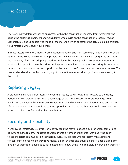### Use Cases

There are many different types of businesses within the construction industry, from Architects who design the buildings, Engineers and Consultants who advise on the construction process, Product Manufacturers and Suppliers who make all the materials which constitute the actual building through to Contractors who actually build them.

In most sectors within this industry, organizations range in size from some very large players to, at the other extreme, some very small niche players. Yet within construction we are seeing more and more organizations, of all sizes, adopting cloud technologies by moving their IT consumption from the traditional on-premise server-based technology to hosted/cloud based provision using the internet to serve rich applications to the desktop without the need to own/house their own computer servers. The case studies described in this paper highlight some of the reasons why organizations are moving to the cloud.

### Replacing Legacy

A global steel manufacturer recently moved their legacy Lotus Notes infrastructure to the cloud, adopting Microsoft Office 365 to take advantage of the Cloud based Microsoft Exchange. This eliminated the need to have their own servers internally which were becoming outdated and in need of considerable capital expenditure to keep up to date. It also meant that they could provision new users to the business far quicker than ever before.

### Security and Flexibility

A worldwide infrastructure contractor recently took the move to adopt cloud for email, comms and document management. The cloud solution offered a number of benefits. Obviously the ability to use the latest communication technology such as Microsoft Lync for instant messaging and teleconferencing has meant they save money on call charges and travel expenses, since a significant amount of their traditional face-to-face meetings are now being held remotely. By providing their staff

©2012 Focus Research - The Cloud Computing Guide for Construction. Microsoft provides this material solely for informational purposes. MICROSOFT MAKES NO WARRANTIES, EXPRESS, IMPLIED, OR STATUTORY, AS TO THE INFORMATION IN THIS DOCUMENT.



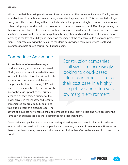with a more flexible working environment they have reduced their actual office space. Employees are now able to work from home, on-site, or anywhere else they may need to. This has resulted in huge savings on office space, along with associated costs such as power and light. However, their reasons behind adopting a cloud based email solution were far more business critical. Over the previous year their own servers had crashed a number of times, wiping out email access for hours, sometimes days at a time. The cost to the business was potentially many thousands of dollars in lost revenue, before factoring in the loss of visibility and impact on the image of the company to its clients and prospective clients. Fortunately, moving their email to the cloud has provided them with service levels and guarantees to help ensure this will not happen again.

### Competitive Advantage

A manufacturer of renewable energy products recently adopted a cloud-based CRM system to ensure it provided its sales force with the latest tools but without costs inherent with on-premise installations. The possibility of implementing CRM had been rejected a number of years previously due to the large upfront costs. This was a concern as they knew a number of the larger players in the industry had recently implemented on-premise CRM solutions, thus putting them at a disadvantage. The

Construction companies of all sizes are increasingly looking to cloud-based solutions in order to reduce their cost base in a highly competitive and often very low margin environment.

advent of cloud has now enabled them to compete on a level playing field and have access to the same sort of business tools as those companies far larger than them.

Construction companies of all sizes are increasingly looking to cloud-based solutions in order to reduce their cost base in a highly competitive and often very low margin environment. However, as these cases demonstrate, many are finding an array of wider benefits can be accrued in moving to the cloud.

©2012 Focus Research - The Cloud Computing Guide for Construction.

Microsoft provides this material solely for informational purposes. MICROSOFT MAKES NO WARRANTIES, EXPRESS, IMPLIED, OR STATUTORY, AS TO THE INFORMATION IN THIS DOCUMENT.

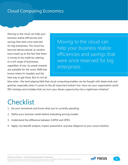# Cloud Computing Economics

Moving to the cloud can help your business realize efficiencies and savings that were once reserved for big enterprises. The cloud has become democratized, as vendors have wised up to the fact that there is money to be made by catering to a full range of businesses, regardless of size. So ample rewards are available for the smart SMB that knows where it's headed, and the best way to get there. But it's not all

Moving to the cloud can help your business realize efficiencies and savings that were once reserved for big enterprises.

blue skies—the level playing field that cloud computing enables can be fraught with dead-ends and gotchas, especially when it comes to the all-important bottom line. How can your organization avoid ROI missteps and mistakes that can turn your dream opportunity into a nightmare initiative?

# **Checklist**

- 1. Do your homework and know what you're currently spending.
- 2. Define your business needs before evaluating pricing models.
- 3. Understand the difference between CAPEX and OPEX.
- 4. Apply cost benefit analysis, impact assessment, and due diligence to your cloud initiative.



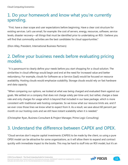### 1. Do your homework and know what you're currently spending.

 "First, have a clear scope and user expectations before beginning. Have a clear cost structure for existing services. Let's use email, for example: the cost of servers, energy, resources, software, service levels, disaster recovery—all things that must be identified prior to undertaking an ROI. I believe you will find that commodity activities are the best candidates for cloud opportunities."

(Dion Alley, President, International Business Partners)

### 2. Define your business needs before evaluating pricing models.

 "It is paramount to clearly define your needs before you start shopping for a cloud solution. The similarities in cloud offerings would begin and end at the need for increased value and better redundancy. For example, clouds for Software-as-a-Service (SaaS) would be focused on resource availability. Hosting clouds would emphasize scalability. Storage clouds would rely on fast hardware and data capacity.

"When comparing our options, we looked at what was being charged and evaluated them against our goals. We settled on a company that does not charge solely per-time-unit, but rather, charges a base rate and only charges for usage which is beyond that included in our base package, which is more consistent with traditional web hosting companies. So we know what our resource limits are, and if we ever cross those lines we know what to expect from it. As a result, we save about 60 percent per month on our hosting costs and we still have instant scalability when it is needed."

(Christopher Ryan, Business Consultant & Project Manager, Prime Logic Consulting)

### 3. Understand the difference between CAPEX and OPEX.

"Cloud services don't require capital investments (CAPEX) to be made by the client, so using a pure OPEX model can be attractive for some organizations, as it will allow them to expand and contract quickly with immediate impact to the books. This may be hard to stuff into an ROI model, but it's an

©2012 Focus Research - The Cloud Computing Guide for Construction. Microsoft provides this material solely for informational purposes. MICROSOFT MAKES NO WARRANTIES, EXPRESS, IMPLIED, OR STATUTORY, AS TO THE INFORMATION IN THIS DOCUMENT.



**V** FOCUS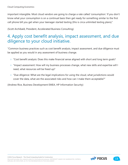important intangible. Most cloud vendors are going to charge a rate called 'consumption.' If you don't know what your consumption is on a continual basis then get ready for something similar to the first cell phone bill you get when your teenager started texting (this is circa unlimited texting plans)."

(Scott Archibald, President, Accelerated Business Consulting)

### 4. Apply cost benefit analysis, impact assessment, and due diligence to your cloud initiative.

"Common business practices such as cost benefit analysis, impact assessment, and due diligence must be applied as you would in any assessment of business change.

- "Cost benefit analysis: Does this make financial sense aligned with short and long term goals?
- "Impact assessment: How will my business processes change, what new skills and expertise will I need, what resources will be freed up?
- $\circ$  "Due diligence: What are the legal implications for using the cloud, what jurisdictions would cover the data, what are the associated risks and how can I make them acceptable?"

(Andrew Rice, Business Development EMEA, HP Information Security)

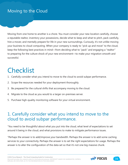### Moving to the Cloud

Moving from one home to another is a chore. You must consider your new location carefully, choose a reputable realtor, inventory your possessions, decide what to keep and what to pitch, pack carefully, hire a mover, and mentally prepare for life in your new surroundings. Curiously, it's not unlike moving your business to cloud computing. When your company is ready to "pick up and move" to the cloud, keep the following best practices in mind—from deciding what to "pack" and engaging a "realtor" to preparing for the culture shock of your new environment—to make your migration smooth and successful.

# **Checklist**

- 1. Carefully consider what you intend to move to the cloud to avoid subpar performance.
- 2. Scope the resources needed for your deployment thoroughly.
- 3. Be prepared for the cultural shifts that accompany moving to the cloud.
- 4. Migrate to the cloud as you would to a larger on-premises server.
- 5. Purchase high-quality monitoring software for your virtual environment.

### 1. Carefully consider what you intend to move to the cloud to avoid subpar performance.

"You need to be thoughtful about what you put into the cloud, what level of expectations to set around it being in the cloud, and what provisions to make to mitigate performance issues.

"Perhaps the answer is to add/improve your bandwidth. Perhaps the answer is to add some caching services to your connectivity. Perhaps the answer is to set the right expectations for usage. Perhaps the answer is to alter the configuration of the data set so that it's not one big massive chunk.

©2012 Focus Research - The Cloud Computing Guide for Construction. Microsoft provides this material solely for informational purposes. MICROSOFT MAKES NO WARRANTIES, EXPRESS,

IMPLIED, OR STATUTORY, AS TO THE INFORMATION IN THIS DOCUMENT.

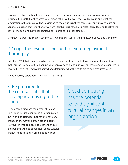"No matter what combination of the above turns out to be helpful, the underlying answer must include a thoughtful look at what your organization will move, why it will move it, and what the ramification of that move will be. Migrating to the cloud is not the same as simply moving data or apps to a location that is farther away from you than it is now. Not unless you're looking to relive the days of modem and ISDN connections, as it pertains to larger data sets."

(Andrew S. Baker, Information Security & IT Operations Consultant, BrainWave Consulting Company)

### 2. Scope the resources needed for your deployment thoroughly.

"Most any VAR that you are purchasing your hypervisor from should have capacity planning tools that you can use to assist in planning your deployment. Make sure you purchase enough resources to cover a full year of server/data sprawl and determine what the costs are to add resources later."

(Steve Heusser, Operations Manager, SolutionPro)

### 3. Be prepared for the cultural shifts that accompany moving to the cloud.

"Cloud computing has the potential to lead significant cultural changes in an organization, but in and of itself does not have to have any change in the way the organization operates. However, if change does not follow, then costs and benefits will not be realized. Some cultural changes that cloud can bring about include:

Cloud computing has the potential to lead significant cultural changes in an organization.

©2012 Focus Research - The Cloud Computing Guide for Construction. Microsoft provides this material solely for informational purposes. MICROSOFT MAKES NO WARRANTIES, EXPRESS, IMPLIED, OR STATUTORY, AS TO THE INFORMATION IN THIS DOCUMENT.

**FOCUS** 

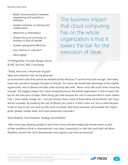- Better communications between engineering and operations (DevOps)
- Greater emphasis on sharing and collaboration
- $\circ$  Reduction in redundancy
- Greater focus on continuity of business in face of disaster
- Greater operational efficiency
- Less reliance on internal IT
- More agility"

(JP Morgenthal, Principal, Ranger, Cloud & VDC Services, EMC Consulting)

"Today, there are a whole host of good ideas and initiatives that can be dreamed The business impact that cloud computing has on the whole organization is that it lowers the bar for the execution of ideas.

up by business units that cannot be realized quickly because IT cannot move fast enough. How many times has a product manager thought to himself, 'You know, we should take advantage of this market opportunity,' only to dismiss the idea a few seconds later with, 'Never mind. We could never move fast enough.' The biggest impact that cloud computing has on the whole organization is that it lowers the bar for the execution of ideas. More things get tried because the cost to execute them is lower (where cost = time, hassle, energy, etc.—not just money). Now, many of those ideas will be failures. But many will be successes. By lowering the cost of failures (you tried it, it didn't work out, but so what because it was so easy to do), you end up with more successes. And those successes will translate into higher profit, greater market share, and more passionate customers."

(Dave Roberts, Vice President, Strategy, ServiceMesh)

"With more orgs allowing people to work from home and also employing remote teams as part of their workforce (local or international), true cloud computing (i.e. with IaaS and SaaS) will allow flexibility, around-the-clock development and support, and more productivity."

©2012 Focus Research - The Cloud Computing Guide for Construction. Microsoft provides this material solely for informational purposes. MICROSOFT MAKES NO WARRANTIES, EXPRESS, IMPLIED, OR STATUTORY, AS TO THE INFORMATION IN THIS DOCUMENT.

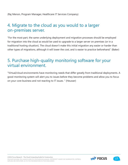### 4. Migrate to the cloud as you would to a larger on-premises server.

"For the most part, the same underlying deployment and migration processes should be employed for migration into the cloud as would be used to upgrade to a larger server on premises (or in a traditional hosting situation). The cloud doesn't make this initial migration any easier or harder than other types of migrations, although it will lower the cost, and is easier to practice beforehand." (Baker)

### 5. Purchase high-quality monitoring software for your virtual environment.

"Virtual/cloud environments have monitoring needs that differ greatly from traditional deployments. A good monitoring system will alert you to issues before they become problems and allow you to focus on your core business and not reacting to IT issues. " (Heusser)

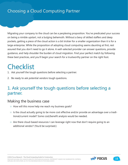Migrating your company to the cloud can be a perplexing proposition. You've predicated your success on being a nimble upstart, not a bulging behemoth. Without a bevy of skilled staffers and deep pockets, getting a piece of the cloud action is a bit trickier for a smaller organization than it is for a large enterprise. While the proposition of adopting cloud computing seems daunting at first, rest assured that you don't need to go it alone. A well-selected provider can answer questions, provide guidance, and help shoulder the burden of cloud migration. Find your perfect match by following these best practices, and you'll begin your search for a trustworthy partner on the right foot.

# **Checklist**

- 1. Ask yourself the tough questions before selecting a partner.
- 2. Be ready to ask potential vendors tough questions.

### 1. Ask yourself the tough questions before selecting a partner.

#### Making the business case

- How will this move help me reach my business goals?
- Is the cloud actually going to be more cost effective and/or provide an advantage over a traditional/current model? Some cost/benefit analysis would be needed.
- Are there cloud-based resources I can leverage right now that don't require going to an additional vendor? (You'd be surprised.)



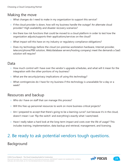### Making the move

- What changes do I need to make in my organization to support this service?
- $\circ$  If the cloud provider is down, how will my business handle the outage? An alternate cloud provider? High availability and disaster recovery scenarios?
- Are there low risk functions that could be moved to a cloud platform in order to test how the organization adjusts/supports their applications/services on the cloud?
- What impact will this have on my industry or regulatory compliance obligations?
- Does my technology-before-the-cloud (on-premise workstation hardware, Internet provider, telecom/phone/PBX solution, Web/database servers/hosting company) meet the demands a SaaS solution will require?

#### Data

- $\circ$  How much control will I have over the vendor's upgrade schedules, and what will it mean for the integration with the other portions of my business?
- What are the security/privacy implications of using this technology?
- What contingencies do I have for my business if this technology is unavailable for a day or a week?

### Resources and backup

- Who do I have on staff that can manage this process?
- Will this free up personnel resources to work on more business-critical projects?
- $\circ$  Am I prepared to accept that there's going to be a learning curve? Just because it's in the cloud, doesn't mean I can 'flip the switch' and everything's exactly what I want/need.
- Have I really taken a hard look at the long-term impact and costs over the life of usage? This includes training, implementation, data backup and retrieval, management, and licensing.

# 2. Be ready to ask potential vendors tough questions.

### Background

©2012 Focus Research - The Cloud Computing Guide for Construction.

Microsoft provides this material solely for informational purposes. MICROSOFT MAKES NO WARRANTIES, EXPRESS, IMPLIED, OR STATUTORY, AS TO THE INFORMATION IN THIS DOCUMENT.

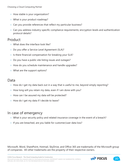- How stable is your organization?
- What is your product roadmap?
- Can you provide references that reflect my particular business?
- Can you address industry-specific compliance requirements; encryption levels and authentication protocol details?

#### Product

- What does the interface look like?
- Do you offer a Service Level Agreement (SLA)?
- Is there financial compensation for breaking your SLA?
- Do you have a public site listing issues and outages?
- How do you schedule maintenance and handle upgrades?
- What are the support options?

#### Data

- $\circ$  How do I get my data back out in a way that is useful to me, beyond simply reporting?
- $\circ$  How long will you retain my data, even if I am done with you?
- How can I be assured my data will be protected?
- How do I get my data if I decide to leave?

### In case of emergency

- What is your security policy and related insurance coverage in the event of a breach?
- If you are breached, are you liable for customer/user data loss?

Microsoft, Word, SharePoint, Hotmail, SkyDrive, and Office 365 are trademarks of the Microsoft group of companies. All other trademarks are the property of their respective owners.